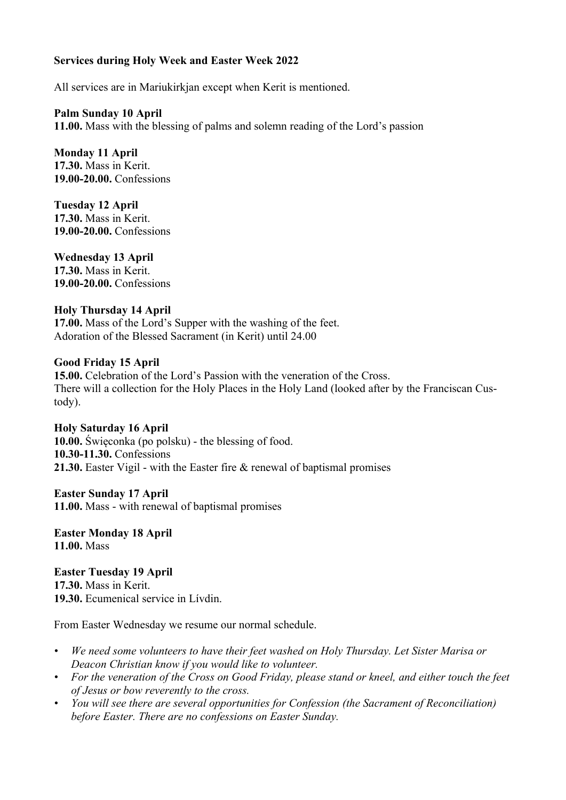## **Services during Holy Week and Easter Week 2022**

All services are in Mariukirkjan except when Kerit is mentioned.

**Palm Sunday 10 April 11.00.** Mass with the blessing of palms and solemn reading of the Lord's passion

**Monday 11 April 17.30.** Mass in Kerit. **19.00-20.00.** Confessions

**Tuesday 12 April 17.30.** Mass in Kerit. **19.00-20.00.** Confessions

**Wednesday 13 April 17.30.** Mass in Kerit. **19.00-20.00.** Confessions

## **Holy Thursday 14 April**

**17.00.** Mass of the Lord's Supper with the washing of the feet. Adoration of the Blessed Sacrament (in Kerit) until 24.00

## **Good Friday 15 April**

**15.00.** Celebration of the Lord's Passion with the veneration of the Cross. There will a collection for the Holy Places in the Holy Land (looked after by the Franciscan Custody).

**Holy Saturday 16 April 10.00.** Święconka (po polsku) - the blessing of food. **10.30-11.30.** Confessions **21.30.** Easter Vigil - with the Easter fire & renewal of baptismal promises

**Easter Sunday 17 April 11.00.** Mass - with renewal of baptismal promises

**Easter Monday 18 April 11.00.** Mass

**Easter Tuesday 19 April 17.30.** Mass in Kerit. **19.30.** Ecumenical service in Lívdin.

From Easter Wednesday we resume our normal schedule.

- *• We need some volunteers to have their feet washed on Holy Thursday. Let Sister Marisa or Deacon Christian know if you would like to volunteer.*
- *• For the veneration of the Cross on Good Friday, please stand or kneel, and either touch the feet of Jesus or bow reverently to the cross.*
- *• You will see there are several opportunities for Confession (the Sacrament of Reconciliation) before Easter. There are no confessions on Easter Sunday.*